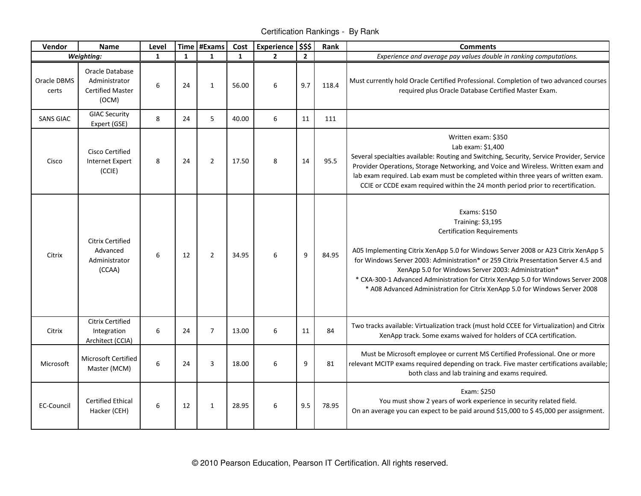Certification Rankings - By Rank

| Vendor               | <b>Name</b>                                                          | Level   |              | Time #Exams    | Cost         | <b>Experience</b> | \$\$\$         | Rank  | <b>Comments</b>                                                                                                                                                                                                                                                                                                                                                                                                                                                              |
|----------------------|----------------------------------------------------------------------|---------|--------------|----------------|--------------|-------------------|----------------|-------|------------------------------------------------------------------------------------------------------------------------------------------------------------------------------------------------------------------------------------------------------------------------------------------------------------------------------------------------------------------------------------------------------------------------------------------------------------------------------|
| Weighting:           |                                                                      | 1       | $\mathbf{1}$ | $\mathbf{1}$   | $\mathbf{1}$ | $\overline{2}$    | $\overline{2}$ |       | Experience and average pay values double in ranking computations.                                                                                                                                                                                                                                                                                                                                                                                                            |
| Oracle DBMS<br>certs | Oracle Database<br>Administrator<br><b>Certified Master</b><br>(OCM) | $\,6\,$ | 24           | $\mathbf{1}$   | 56.00        | 6                 | 9.7            | 118.4 | Must currently hold Oracle Certified Professional. Completion of two advanced courses<br>required plus Oracle Database Certified Master Exam.                                                                                                                                                                                                                                                                                                                                |
| <b>SANS GIAC</b>     | <b>GIAC Security</b><br>Expert (GSE)                                 | $\,8\,$ | 24           | 5              | 40.00        | 6                 | 11             | 111   |                                                                                                                                                                                                                                                                                                                                                                                                                                                                              |
| Cisco                | <b>Cisco Certified</b><br><b>Internet Expert</b><br>(CCIE)           | 8       | 24           | $\overline{2}$ | 17.50        | 8                 | 14             | 95.5  | Written exam: \$350<br>Lab exam: \$1,400<br>Several specialties available: Routing and Switching, Security, Service Provider, Service<br>Provider Operations, Storage Networking, and Voice and Wireless. Written exam and<br>lab exam required. Lab exam must be completed within three years of written exam.<br>CCIE or CCDE exam required within the 24 month period prior to recertification.                                                                           |
| Citrix               | <b>Citrix Certified</b><br>Advanced<br>Administrator<br>(CCAA)       | 6       | 12           | $\overline{2}$ | 34.95        | 6                 | 9              | 84.95 | Exams: \$150<br>Training: \$3,195<br><b>Certification Requirements</b><br>A05 Implementing Citrix XenApp 5.0 for Windows Server 2008 or A23 Citrix XenApp 5<br>for Windows Server 2003: Administration* or 259 Citrix Presentation Server 4.5 and<br>XenApp 5.0 for Windows Server 2003: Administration*<br>* CXA-300-1 Advanced Administration for Citrix XenApp 5.0 for Windows Server 2008<br>* A08 Advanced Administration for Citrix XenApp 5.0 for Windows Server 2008 |
| Citrix               | <b>Citrix Certified</b><br>Integration<br>Architect (CCIA)           | 6       | 24           | $\overline{7}$ | 13.00        | 6                 | 11             | 84    | Two tracks available: Virtualization track (must hold CCEE for Virtualization) and Citrix<br>XenApp track. Some exams waived for holders of CCA certification.                                                                                                                                                                                                                                                                                                               |
| Microsoft            | Microsoft Certified<br>Master (MCM)                                  | 6       | 24           | 3              | 18.00        | 6                 | 9              | 81    | Must be Microsoft employee or current MS Certified Professional. One or more<br>relevant MCITP exams required depending on track. Five master certifications available;<br>both class and lab training and exams required.                                                                                                                                                                                                                                                   |
| <b>EC-Council</b>    | <b>Certified Ethical</b><br>Hacker (CEH)                             | 6       | 12           | $\mathbf{1}$   | 28.95        | 6                 | 9.5            | 78.95 | Exam: \$250<br>You must show 2 years of work experience in security related field.<br>On an average you can expect to be paid around \$15,000 to \$45,000 per assignment.                                                                                                                                                                                                                                                                                                    |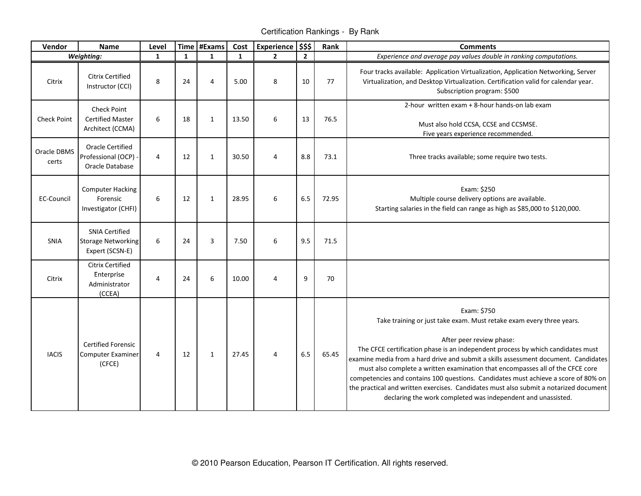Certification Rankings - By Rank

| Vendor               | <b>Name</b>                                                           | Level        |              | Time #Exams  | Cost         | <b>Experience</b> | \$\$\$         | Rank  | <b>Comments</b>                                                                                                                                                                                                                                                                                                                                                                                                                                                                                                                                                                                                            |
|----------------------|-----------------------------------------------------------------------|--------------|--------------|--------------|--------------|-------------------|----------------|-------|----------------------------------------------------------------------------------------------------------------------------------------------------------------------------------------------------------------------------------------------------------------------------------------------------------------------------------------------------------------------------------------------------------------------------------------------------------------------------------------------------------------------------------------------------------------------------------------------------------------------------|
|                      | Weighting:                                                            | $\mathbf{1}$ | $\mathbf{1}$ | $\mathbf{1}$ | $\mathbf{1}$ | $\overline{2}$    | $\overline{2}$ |       | Experience and average pay values double in ranking computations.                                                                                                                                                                                                                                                                                                                                                                                                                                                                                                                                                          |
| Citrix               | <b>Citrix Certified</b><br>Instructor (CCI)                           | 8            | 24           | 4            | 5.00         | 8                 | 10             | 77    | Four tracks available: Application Virtualization, Application Networking, Server<br>Virtualization, and Desktop Virtualization. Certification valid for calendar year.<br>Subscription program: \$500                                                                                                                                                                                                                                                                                                                                                                                                                     |
| <b>Check Point</b>   | <b>Check Point</b><br><b>Certified Master</b><br>Architect (CCMA)     | 6            | 18           | $\mathbf{1}$ | 13.50        | 6                 | 13             | 76.5  | 2-hour written exam + 8-hour hands-on lab exam<br>Must also hold CCSA, CCSE and CCSMSE.<br>Five years experience recommended.                                                                                                                                                                                                                                                                                                                                                                                                                                                                                              |
| Oracle DBMS<br>certs | <b>Oracle Certified</b><br>Professional (OCP)<br>Oracle Database      | 4            | 12           | $\mathbf{1}$ | 30.50        | $\overline{4}$    | 8.8            | 73.1  | Three tracks available; some require two tests.                                                                                                                                                                                                                                                                                                                                                                                                                                                                                                                                                                            |
| <b>EC-Council</b>    | <b>Computer Hacking</b><br>Forensic<br>Investigator (CHFI)            | 6            | 12           | $\mathbf{1}$ | 28.95        | 6                 | 6.5            | 72.95 | Exam: \$250<br>Multiple course delivery options are available.<br>Starting salaries in the field can range as high as \$85,000 to \$120,000.                                                                                                                                                                                                                                                                                                                                                                                                                                                                               |
| SNIA                 | <b>SNIA Certified</b><br><b>Storage Networking</b><br>Expert (SCSN-E) | 6            | 24           | 3            | 7.50         | 6                 | 9.5            | 71.5  |                                                                                                                                                                                                                                                                                                                                                                                                                                                                                                                                                                                                                            |
| Citrix               | <b>Citrix Certified</b><br>Enterprise<br>Administrator<br>(CCEA)      | 4            | 24           | 6            | 10.00        | 4                 | 9              | 70    |                                                                                                                                                                                                                                                                                                                                                                                                                                                                                                                                                                                                                            |
| <b>IACIS</b>         | <b>Certified Forensic</b><br><b>Computer Examiner</b><br>(CFCE)       | 4            | 12           | $\mathbf{1}$ | 27.45        | 4                 | 6.5            | 65.45 | Exam: \$750<br>Take training or just take exam. Must retake exam every three years.<br>After peer review phase:<br>The CFCE certification phase is an independent process by which candidates must<br>examine media from a hard drive and submit a skills assessment document. Candidates<br>must also complete a written examination that encompasses all of the CFCE core<br>competencies and contains 100 questions. Candidates must achieve a score of 80% on<br>the practical and written exercises. Candidates must also submit a notarized document<br>declaring the work completed was independent and unassisted. |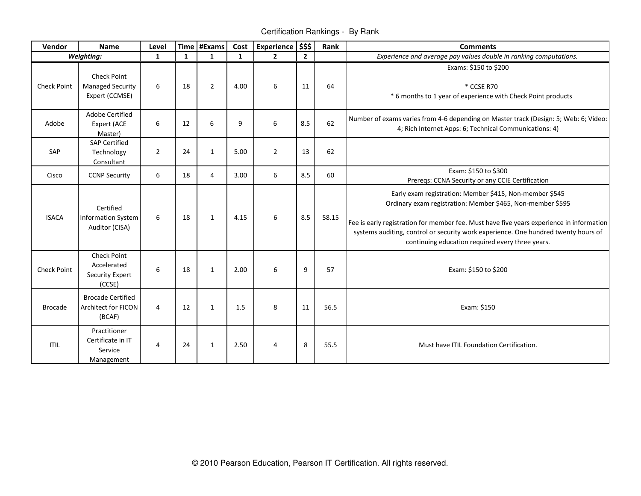Certification Rankings - By Rank

| Vendor             | <b>Name</b>                                                           | Level          |              | Time #Exams    | Cost         | Experience \$\$\$ |                | Rank  | <b>Comments</b>                                                                                                                                                                                                                                                                                                                                             |
|--------------------|-----------------------------------------------------------------------|----------------|--------------|----------------|--------------|-------------------|----------------|-------|-------------------------------------------------------------------------------------------------------------------------------------------------------------------------------------------------------------------------------------------------------------------------------------------------------------------------------------------------------------|
|                    | Weighting:                                                            | $\mathbf{1}$   | $\mathbf{1}$ | $\mathbf{1}$   | $\mathbf{1}$ | $\overline{2}$    | $\overline{2}$ |       | Experience and average pay values double in ranking computations.                                                                                                                                                                                                                                                                                           |
| <b>Check Point</b> | <b>Check Point</b><br><b>Managed Security</b><br>Expert (CCMSE)       | 6              | 18           | $\overline{2}$ | 4.00         | 6                 | 11             | 64    | Exams: \$150 to \$200<br>* CCSE R70<br>* 6 months to 1 year of experience with Check Point products                                                                                                                                                                                                                                                         |
| Adobe              | Adobe Certified<br><b>Expert (ACE</b><br>Master)                      | 6              | 12           | 6              | 9            | 6                 | 8.5            | 62    | Number of exams varies from 4-6 depending on Master track (Design: 5; Web: 6; Video:<br>4; Rich Internet Apps: 6; Technical Communications: 4)                                                                                                                                                                                                              |
| SAP                | <b>SAP Certified</b><br>Technology<br>Consultant                      | $\overline{2}$ | 24           | $\mathbf{1}$   | 5.00         | $\overline{2}$    | 13             | 62    |                                                                                                                                                                                                                                                                                                                                                             |
| Cisco              | <b>CCNP Security</b>                                                  | 6              | 18           | $\overline{4}$ | 3.00         | 6                 | 8.5            | 60    | Exam: \$150 to \$300<br>Prereqs: CCNA Security or any CCIE Certification                                                                                                                                                                                                                                                                                    |
| <b>ISACA</b>       | Certified<br><b>Information System</b><br>Auditor (CISA)              | 6              | 18           | $\mathbf{1}$   | 4.15         | 6                 | 8.5            | 58.15 | Early exam registration: Member \$415, Non-member \$545<br>Ordinary exam registration: Member \$465, Non-member \$595<br>Fee is early registration for member fee. Must have five years experience in information<br>systems auditing, control or security work experience. One hundred twenty hours of<br>continuing education required every three years. |
| Check Point        | <b>Check Point</b><br>Accelerated<br><b>Security Expert</b><br>(CCSE) | 6              | 18           | $\mathbf{1}$   | 2.00         | 6                 | 9              | 57    | Exam: \$150 to \$200                                                                                                                                                                                                                                                                                                                                        |
| <b>Brocade</b>     | <b>Brocade Certified</b><br><b>Architect for FICON</b><br>(BCAF)      | $\overline{4}$ | 12           | $\mathbf{1}$   | 1.5          | 8                 | 11             | 56.5  | Exam: \$150                                                                                                                                                                                                                                                                                                                                                 |
| <b>ITIL</b>        | Practitioner<br>Certificate in IT<br>Service<br>Management            | 4              | 24           | 1              | 2.50         | $\overline{4}$    | 8              | 55.5  | Must have ITIL Foundation Certification.                                                                                                                                                                                                                                                                                                                    |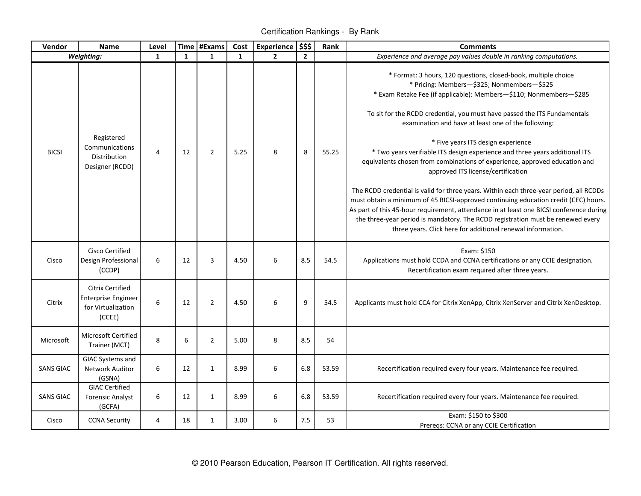Certification Rankings - By Rank

| Vendor           | <b>Name</b>                                                                           | Level        |                  | Time #Exams    | Cost         | <b>Experience</b> | \$\$\$         | Rank  | <b>Comments</b>                                                                                                                                                                                                                                                                                                                                                                                                            |
|------------------|---------------------------------------------------------------------------------------|--------------|------------------|----------------|--------------|-------------------|----------------|-------|----------------------------------------------------------------------------------------------------------------------------------------------------------------------------------------------------------------------------------------------------------------------------------------------------------------------------------------------------------------------------------------------------------------------------|
|                  | Weighting:                                                                            | $\mathbf{1}$ | $\mathbf{1}$     | $\mathbf{1}$   | $\mathbf{1}$ | $\overline{2}$    | $\overline{2}$ |       | Experience and average pay values double in ranking computations.                                                                                                                                                                                                                                                                                                                                                          |
|                  |                                                                                       |              |                  |                |              |                   |                |       | * Format: 3 hours, 120 questions, closed-book, multiple choice<br>* Pricing: Members-\$325; Nonmembers-\$525<br>* Exam Retake Fee (if applicable): Members-\$110; Nonmembers-\$285<br>To sit for the RCDD credential, you must have passed the ITS Fundamentals<br>examination and have at least one of the following:                                                                                                     |
| <b>BICSI</b>     | Registered<br>Communications<br>Distribution<br>Designer (RCDD)                       | 4            | 12               | $\overline{2}$ | 5.25         | 8                 | 8              | 55.25 | * Five years ITS design experience<br>* Two years verifiable ITS design experience and three years additional ITS<br>equivalents chosen from combinations of experience, approved education and<br>approved ITS license/certification                                                                                                                                                                                      |
|                  |                                                                                       |              |                  |                |              |                   |                |       | The RCDD credential is valid for three years. Within each three-year period, all RCDDs<br>must obtain a minimum of 45 BICSI-approved continuing education credit (CEC) hours.<br>As part of this 45-hour requirement, attendance in at least one BICSI conference during<br>the three-year period is mandatory. The RCDD registration must be renewed every<br>three years. Click here for additional renewal information. |
| Cisco            | <b>Cisco Certified</b><br>Design Professional<br>(CCDP)                               | 6            | 12               | 3              | 4.50         | 6                 | 8.5            | 54.5  | Exam: \$150<br>Applications must hold CCDA and CCNA certifications or any CCIE designation.<br>Recertification exam required after three years.                                                                                                                                                                                                                                                                            |
| Citrix           | <b>Citrix Certified</b><br><b>Enterprise Engineer</b><br>for Virtualization<br>(CCEE) | 6            | 12               | $\overline{2}$ | 4.50         | 6                 | 9              | 54.5  | Applicants must hold CCA for Citrix XenApp, Citrix XenServer and Citrix XenDesktop.                                                                                                                                                                                                                                                                                                                                        |
| Microsoft        | <b>Microsoft Certified</b><br>Trainer (MCT)                                           | 8            | $\boldsymbol{6}$ | $\overline{2}$ | 5.00         | 8                 | 8.5            | 54    |                                                                                                                                                                                                                                                                                                                                                                                                                            |
| <b>SANS GIAC</b> | GIAC Systems and<br>Network Auditor<br>(GSNA)                                         | 6            | 12               | $\mathbf{1}$   | 8.99         | 6                 | 6.8            | 53.59 | Recertification required every four years. Maintenance fee required.                                                                                                                                                                                                                                                                                                                                                       |
| <b>SANS GIAC</b> | <b>GIAC Certified</b><br><b>Forensic Analyst</b><br>(GCFA)                            | 6            | 12               | $\mathbf{1}$   | 8.99         | 6                 | 6.8            | 53.59 | Recertification required every four years. Maintenance fee required.                                                                                                                                                                                                                                                                                                                                                       |
| Cisco            | <b>CCNA Security</b>                                                                  | 4            | 18               | $\mathbf{1}$   | 3.00         | 6                 | 7.5            | 53    | Exam: \$150 to \$300<br>Prereqs: CCNA or any CCIE Certification                                                                                                                                                                                                                                                                                                                                                            |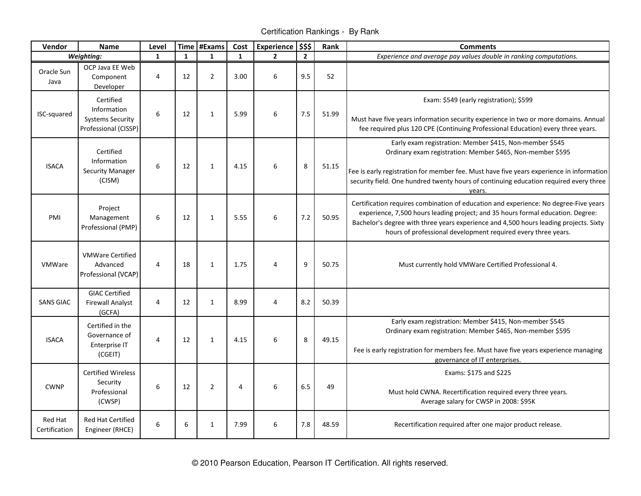Certification Rankings - By Rank

| Vendor                   | <b>Name</b>                                                                 | Level          |              | Time #Exams    | Cost           | <b>Experience</b> | \$\$\$         | Rank  | <b>Comments</b>                                                                                                                                                                                                                                                                                                                   |
|--------------------------|-----------------------------------------------------------------------------|----------------|--------------|----------------|----------------|-------------------|----------------|-------|-----------------------------------------------------------------------------------------------------------------------------------------------------------------------------------------------------------------------------------------------------------------------------------------------------------------------------------|
|                          | Weighting:                                                                  | 1              | $\mathbf{1}$ | $\mathbf{1}$   | $\mathbf{1}$   | $\overline{2}$    | $\overline{2}$ |       | Experience and average pay values double in ranking computations.                                                                                                                                                                                                                                                                 |
| Oracle Sun<br>Java       | OCP Java EE Web<br>Component<br>Developer                                   | 4              | 12           | $\overline{2}$ | 3.00           | 6                 | 9.5            | 52    |                                                                                                                                                                                                                                                                                                                                   |
| ISC-squared              | Certified<br>Information<br><b>Systems Security</b><br>Professional (CISSP) | 6              | 12           | $\mathbf{1}$   | 5.99           | 6                 | 7.5            | 51.99 | Exam: \$549 (early registration); \$599<br>Must have five years information security experience in two or more domains. Annual<br>fee required plus 120 CPE (Continuing Professional Education) every three years.                                                                                                                |
| <b>ISACA</b>             | Certified<br>Information<br><b>Security Manager</b><br>(CISM)               | 6              | 12           | $\mathbf{1}$   | 4.15           | 6                 | 8              | 51.15 | Early exam registration: Member \$415, Non-member \$545<br>Ordinary exam registration: Member \$465, Non-member \$595<br>Fee is early registration for member fee. Must have five years experience in information<br>security field. One hundred twenty hours of continuing education required every three<br>years.              |
| PMI                      | Project<br>Management<br>Professional (PMP)                                 | 6              | 12           | $\mathbf{1}$   | 5.55           | 6                 | 7.2            | 50.95 | Certification requires combination of education and experience: No degree-Five years<br>experience, 7,500 hours leading project; and 35 hours formal education. Degree:<br>Bachelor's degree with three years experience and 4,500 hours leading projects. Sixty<br>hours of professional development required every three years. |
| <b>VMWare</b>            | <b>VMWare Certified</b><br>Advanced<br>Professional (VCAP)                  | 4              | 18           | 1              | 1.75           | 4                 | 9              | 50.75 | Must currently hold VMWare Certified Professional 4.                                                                                                                                                                                                                                                                              |
| <b>SANS GIAC</b>         | <b>GIAC Certified</b><br><b>Firewall Analyst</b><br>(GCFA)                  | 4              | 12           | $\mathbf{1}$   | 8.99           | $\overline{4}$    | 8.2            | 50.39 |                                                                                                                                                                                                                                                                                                                                   |
| <b>ISACA</b>             | Certified in the<br>Governance of<br>Enterprise IT<br>(CGEIT)               | $\overline{4}$ | 12           | $\mathbf{1}$   | 4.15           | 6                 | 8              | 49.15 | Early exam registration: Member \$415, Non-member \$545<br>Ordinary exam registration: Member \$465, Non-member \$595<br>Fee is early registration for members fee. Must have five years experience managing<br>governance of IT enterprises.                                                                                     |
| <b>CWNP</b>              | <b>Certified Wireless</b><br>Security<br>Professional<br>(CWSP)             | 6              | 12           | $\overline{2}$ | $\overline{4}$ | 6                 | 6.5            | 49    | Exams: \$175 and \$225<br>Must hold CWNA. Recertification required every three years.<br>Average salary for CWSP in 2008: \$95K                                                                                                                                                                                                   |
| Red Hat<br>Certification | <b>Red Hat Certified</b><br>Engineer (RHCE)                                 | 6              | 6            | $\mathbf{1}$   | 7.99           | 6                 | 7.8            | 48.59 | Recertification required after one major product release.                                                                                                                                                                                                                                                                         |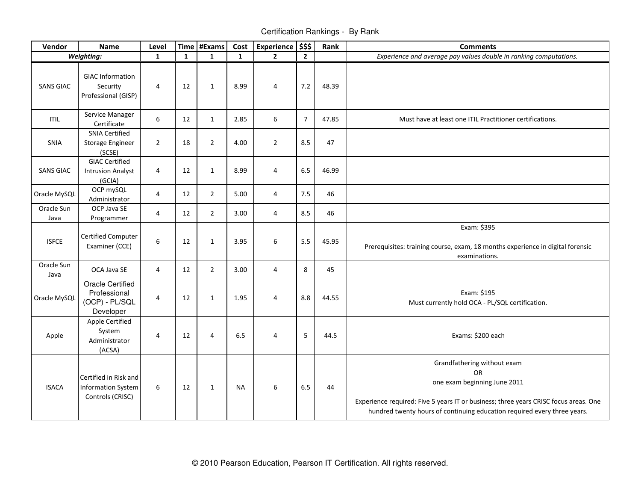Certification Rankings - By Rank

| Vendor             | <b>Name</b>                                                            | Level                   |              | Time   #Exams  | Cost         | Experience \$\$\$ |                | Rank  | <b>Comments</b>                                                                                                                                                                                                                       |
|--------------------|------------------------------------------------------------------------|-------------------------|--------------|----------------|--------------|-------------------|----------------|-------|---------------------------------------------------------------------------------------------------------------------------------------------------------------------------------------------------------------------------------------|
|                    | Weighting:                                                             | $\mathbf{1}$            | $\mathbf{1}$ | $\mathbf{1}$   | $\mathbf{1}$ | $\overline{2}$    | $\overline{2}$ |       | Experience and average pay values double in ranking computations.                                                                                                                                                                     |
| <b>SANS GIAC</b>   | <b>GIAC Information</b><br>Security<br>Professional (GISP)             | $\overline{4}$          | 12           | $\mathbf{1}$   | 8.99         | $\overline{4}$    | 7.2            | 48.39 |                                                                                                                                                                                                                                       |
| <b>ITIL</b>        | Service Manager<br>Certificate                                         | $\boldsymbol{6}$        | 12           | $\mathbf{1}$   | 2.85         | 6                 | $\overline{7}$ | 47.85 | Must have at least one ITIL Practitioner certifications.                                                                                                                                                                              |
| <b>SNIA</b>        | <b>SNIA Certified</b><br>Storage Engineer<br>(SCSE)                    | $\overline{2}$          | 18           | $\overline{2}$ | 4.00         | $\overline{2}$    | 8.5            | 47    |                                                                                                                                                                                                                                       |
| <b>SANS GIAC</b>   | <b>GIAC Certified</b><br><b>Intrusion Analyst</b><br>(GCIA)            | $\overline{4}$          | 12           | $\mathbf{1}$   | 8.99         | $\overline{4}$    | 6.5            | 46.99 |                                                                                                                                                                                                                                       |
| Oracle MySQL       | OCP mySQL<br>Administrator                                             | 4                       | 12           | $\overline{2}$ | 5.00         | $\overline{4}$    | 7.5            | 46    |                                                                                                                                                                                                                                       |
| Oracle Sun<br>Java | OCP Java SE<br>Programmer                                              | $\overline{\mathbf{4}}$ | 12           | $\overline{2}$ | 3.00         | $\overline{4}$    | 8.5            | 46    |                                                                                                                                                                                                                                       |
| <b>ISFCE</b>       | <b>Certified Computer</b><br>Examiner (CCE)                            | 6                       | 12           | $\mathbf{1}$   | 3.95         | 6                 | 5.5            | 45.95 | Exam: \$395<br>Prerequisites: training course, exam, 18 months experience in digital forensic<br>examinations.                                                                                                                        |
| Oracle Sun<br>Java | OCA Java SE                                                            | 4                       | 12           | $\overline{2}$ | 3.00         | $\overline{4}$    | 8              | 45    |                                                                                                                                                                                                                                       |
| Oracle MySQL       | <b>Oracle Certified</b><br>Professional<br>(OCP) - PL/SQL<br>Developer | 4                       | 12           | $\mathbf{1}$   | 1.95         | $\overline{4}$    | 8.8            | 44.55 | Exam: \$195<br>Must currently hold OCA - PL/SQL certification.                                                                                                                                                                        |
| Apple              | Apple Certified<br>System<br>Administrator<br>(ACSA)                   | 4                       | 12           | 4              | 6.5          | $\overline{4}$    | 5              | 44.5  | Exams: \$200 each                                                                                                                                                                                                                     |
| <b>ISACA</b>       | Certified in Risk and<br><b>Information System</b><br>Controls (CRISC) | 6                       | 12           | $\mathbf{1}$   | <b>NA</b>    | $\boldsymbol{6}$  | 6.5            | 44    | Grandfathering without exam<br>OR<br>one exam beginning June 2011<br>Experience required: Five 5 years IT or business; three years CRISC focus areas. One<br>hundred twenty hours of continuing education required every three years. |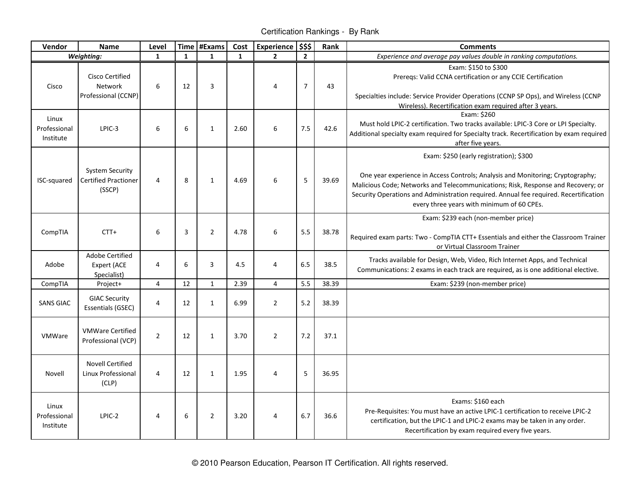Certification Rankings - By Rank

| Vendor                             | Name                                                            | Level          |              | Time #Exams    | Cost         | <b>Experience</b> | \$\$\$         | Rank  | <b>Comments</b>                                                                                                                                                                                                                                                                                                                                      |
|------------------------------------|-----------------------------------------------------------------|----------------|--------------|----------------|--------------|-------------------|----------------|-------|------------------------------------------------------------------------------------------------------------------------------------------------------------------------------------------------------------------------------------------------------------------------------------------------------------------------------------------------------|
|                                    | Weighting:                                                      | $\mathbf{1}$   | $\mathbf{1}$ | $\mathbf{1}$   | $\mathbf{1}$ | $\overline{2}$    | $\overline{2}$ |       | Experience and average pay values double in ranking computations.                                                                                                                                                                                                                                                                                    |
| Cisco                              | <b>Cisco Certified</b><br>Network<br>Professional (CCNP)        | 6              | 12           | 3              |              | $\overline{4}$    | $\overline{7}$ | 43    | Exam: \$150 to \$300<br>Prereqs: Valid CCNA certification or any CCIE Certification<br>Specialties include: Service Provider Operations (CCNP SP Ops), and Wireless (CCNP<br>Wireless). Recertification exam required after 3 years.                                                                                                                 |
| Linux<br>Professional<br>Institute | LPIC-3                                                          | 6              | 6            | $\mathbf{1}$   | 2.60         | $\sqrt{6}$        | 7.5            | 42.6  | Exam: \$260<br>Must hold LPIC-2 certification. Two tracks available: LPIC-3 Core or LPI Specialty.<br>Additional specialty exam required for Specialty track. Recertification by exam required<br>after five years.                                                                                                                                  |
| ISC-squared                        | <b>System Security</b><br><b>Certified Practioner</b><br>(SSCP) | $\overline{4}$ | 8            | $\mathbf{1}$   | 4.69         | $\sqrt{6}$        | 5              | 39.69 | Exam: \$250 (early registration); \$300<br>One year experience in Access Controls; Analysis and Monitoring; Cryptography;<br>Malicious Code; Networks and Telecommunications; Risk, Response and Recovery; or<br>Security Operations and Administration required. Annual fee required. Recertification<br>every three years with minimum of 60 CPEs. |
| CompTIA                            | $CTT+$                                                          | 6              | 3            | $\overline{2}$ | 4.78         | 6                 | 5.5            | 38.78 | Exam: \$239 each (non-member price)<br>Required exam parts: Two - CompTIA CTT+ Essentials and either the Classroom Trainer<br>or Virtual Classroom Trainer                                                                                                                                                                                           |
| Adobe                              | <b>Adobe Certified</b><br>Expert (ACE<br>Specialist)            | 4              | 6            | 3              | 4.5          | $\overline{4}$    | 6.5            | 38.5  | Tracks available for Design, Web, Video, Rich Internet Apps, and Technical<br>Communications: 2 exams in each track are required, as is one additional elective.                                                                                                                                                                                     |
| CompTIA                            | Project+                                                        | 4              | 12           | $\mathbf{1}$   | 2.39         | $\overline{4}$    | 5.5            | 38.39 | Exam: \$239 (non-member price)                                                                                                                                                                                                                                                                                                                       |
| <b>SANS GIAC</b>                   | <b>GIAC Security</b><br><b>Essentials (GSEC)</b>                | 4              | 12           | $\mathbf{1}$   | 6.99         | $\overline{2}$    | 5.2            | 38.39 |                                                                                                                                                                                                                                                                                                                                                      |
| VMWare                             | <b>VMWare Certified</b><br>Professional (VCP)                   | $\overline{2}$ | 12           | $\mathbf{1}$   | 3.70         | $\overline{2}$    | 7.2            | 37.1  |                                                                                                                                                                                                                                                                                                                                                      |
| Novell                             | <b>Novell Certified</b><br>Linux Professional<br>(CLP)          | 4              | 12           | $\mathbf{1}$   | 1.95         | $\overline{4}$    | 5              | 36.95 |                                                                                                                                                                                                                                                                                                                                                      |
| Linux<br>Professional<br>Institute | LPIC-2                                                          | 4              | 6            | $\overline{2}$ | 3.20         | $\overline{4}$    | 6.7            | 36.6  | Exams: \$160 each<br>Pre-Requisites: You must have an active LPIC-1 certification to receive LPIC-2<br>certification, but the LPIC-1 and LPIC-2 exams may be taken in any order.<br>Recertification by exam required every five years.                                                                                                               |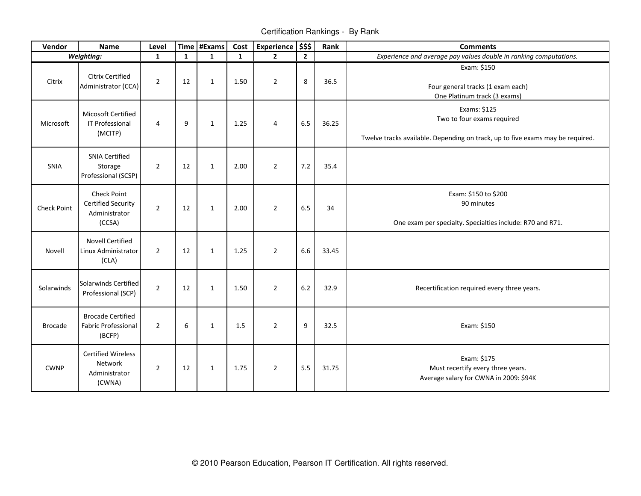Certification Rankings - By Rank

| Vendor         | <b>Name</b>                                                                | Level          |    | Time #Exams  | Cost         | Experience \$\$\$ |                | Rank  | <b>Comments</b>                                                                                                              |
|----------------|----------------------------------------------------------------------------|----------------|----|--------------|--------------|-------------------|----------------|-------|------------------------------------------------------------------------------------------------------------------------------|
|                | Weighting:                                                                 | $\mathbf{1}$   | 1  | $\mathbf{1}$ | $\mathbf{1}$ | $\overline{2}$    | $\overline{2}$ |       | Experience and average pay values double in ranking computations.                                                            |
| Citrix         | <b>Citrix Certified</b><br>Administrator (CCA)                             | $\overline{2}$ | 12 | $\mathbf{1}$ | 1.50         | $\overline{2}$    | 8              | 36.5  | Exam: \$150<br>Four general tracks (1 exam each)<br>One Platinum track (3 exams)                                             |
| Microsoft      | Micosoft Certified<br>IT Professional<br>(MCITP)                           | 4              | 9  | $\mathbf{1}$ | 1.25         | 4                 | 6.5            | 36.25 | Exams: \$125<br>Two to four exams required<br>Twelve tracks available. Depending on track, up to five exams may be required. |
| SNIA           | <b>SNIA Certified</b><br>Storage<br>Professional (SCSP)                    | $\overline{2}$ | 12 | 1            | 2.00         | $\overline{2}$    | 7.2            | 35.4  |                                                                                                                              |
| Check Point    | <b>Check Point</b><br><b>Certified Security</b><br>Administrator<br>(CCSA) | $\overline{2}$ | 12 | 1            | 2.00         | $\overline{2}$    | 6.5            | 34    | Exam: \$150 to \$200<br>90 minutes<br>One exam per specialty. Specialties include: R70 and R71.                              |
| Novell         | <b>Novell Certified</b><br>Linux Administrator<br>(CLA)                    | $\overline{2}$ | 12 | $\mathbf{1}$ | 1.25         | $\overline{2}$    | 6.6            | 33.45 |                                                                                                                              |
| Solarwinds     | <b>Solarwinds Certified</b><br>Professional (SCP)                          | $\overline{2}$ | 12 | $\mathbf{1}$ | 1.50         | $\overline{2}$    | 6.2            | 32.9  | Recertification required every three years.                                                                                  |
| <b>Brocade</b> | <b>Brocade Certified</b><br><b>Fabric Professional</b><br>(BCFP)           | $\overline{2}$ | 6  | $\mathbf{1}$ | 1.5          | $\overline{2}$    | 9              | 32.5  | Exam: \$150                                                                                                                  |
| <b>CWNP</b>    | <b>Certified Wireless</b><br>Network<br>Administrator<br>(CWNA)            | $\overline{2}$ | 12 | $\mathbf{1}$ | 1.75         | $\overline{2}$    | 5.5            | 31.75 | Exam: \$175<br>Must recertify every three years.<br>Average salary for CWNA in 2009: \$94K                                   |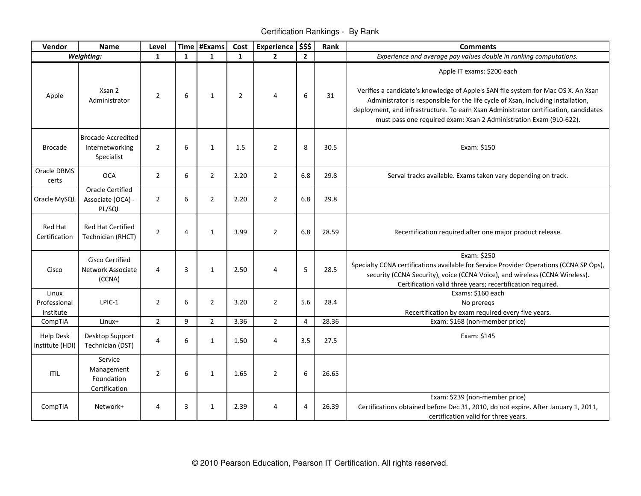Certification Rankings - By Rank

| Vendor                              | <b>Name</b>                                                | Level          |                | Time #Exams    | Cost           | <b>Experience</b> | \$\$\$         | Rank  | <b>Comments</b>                                                                                                                                                                                                                                                                                                                                                   |
|-------------------------------------|------------------------------------------------------------|----------------|----------------|----------------|----------------|-------------------|----------------|-------|-------------------------------------------------------------------------------------------------------------------------------------------------------------------------------------------------------------------------------------------------------------------------------------------------------------------------------------------------------------------|
|                                     | Weighting:                                                 | $\mathbf{1}$   | $\mathbf{1}$   | $\mathbf{1}$   | $\mathbf{1}$   | $\overline{2}$    | $\overline{2}$ |       | Experience and average pay values double in ranking computations.                                                                                                                                                                                                                                                                                                 |
| Apple                               | Xsan 2<br>Administrator                                    | $\overline{2}$ | 6              | $\mathbf{1}$   | $\overline{2}$ | $\overline{4}$    | 6              | 31    | Apple IT exams: \$200 each<br>Verifies a candidate's knowledge of Apple's SAN file system for Mac OS X. An Xsan<br>Administrator is responsible for the life cycle of Xsan, including installation,<br>deployment, and infrastructure. To earn Xsan Administrator certification, candidates<br>must pass one required exam: Xsan 2 Administration Exam (9L0-622). |
| <b>Brocade</b>                      | <b>Brocade Accredited</b><br>Internetworking<br>Specialist | $\overline{2}$ | 6              | $\mathbf{1}$   | 1.5            | $\overline{2}$    | 8              | 30.5  | Exam: \$150                                                                                                                                                                                                                                                                                                                                                       |
| Oracle DBMS<br>certs                | <b>OCA</b>                                                 | $\overline{2}$ | 6              | $\overline{2}$ | 2.20           | $\overline{2}$    | 6.8            | 29.8  | Serval tracks available. Exams taken vary depending on track.                                                                                                                                                                                                                                                                                                     |
| Oracle MySQL                        | <b>Oracle Certified</b><br>Associate (OCA) -<br>PL/SQL     | $\overline{2}$ | 6              | $\overline{2}$ | 2.20           | $\overline{2}$    | 6.8            | 29.8  |                                                                                                                                                                                                                                                                                                                                                                   |
| <b>Red Hat</b><br>Certification     | <b>Red Hat Certified</b><br>Technician (RHCT)              | $\overline{2}$ | $\overline{4}$ | $\mathbf{1}$   | 3.99           | $\overline{2}$    | 6.8            | 28.59 | Recertification required after one major product release.                                                                                                                                                                                                                                                                                                         |
| Cisco                               | Cisco Certified<br>Network Associate<br>(CCNA)             | 4              | $\overline{3}$ | 1              | 2.50           | $\overline{4}$    | 5              | 28.5  | Exam: \$250<br>Specialty CCNA certifications available for Service Provider Operations (CCNA SP Ops),<br>security (CCNA Security), voice (CCNA Voice), and wireless (CCNA Wireless).<br>Certification valid three years; recertification required.                                                                                                                |
| Linux<br>Professional<br>Institute  | LPIC-1                                                     | $\overline{2}$ | 6              | $\overline{2}$ | 3.20           | $\overline{2}$    | 5.6            | 28.4  | Exams: \$160 each<br>No preregs<br>Recertification by exam required every five years.                                                                                                                                                                                                                                                                             |
| CompTIA                             | Linux+                                                     | $\overline{2}$ | 9              | $\overline{2}$ | 3.36           | $\overline{2}$    | $\overline{4}$ | 28.36 | Exam: \$168 (non-member price)                                                                                                                                                                                                                                                                                                                                    |
| <b>Help Desk</b><br>Institute (HDI) | Desktop Support<br>Technician (DST)                        | 4              | 6              | 1              | 1.50           | $\overline{4}$    | 3.5            | 27.5  | Exam: \$145                                                                                                                                                                                                                                                                                                                                                       |
| <b>ITIL</b>                         | Service<br>Management<br>Foundation<br>Certification       | $\overline{2}$ | 6              | $\mathbf{1}$   | 1.65           | $\overline{2}$    | 6              | 26.65 |                                                                                                                                                                                                                                                                                                                                                                   |
| CompTIA                             | Network+                                                   | 4              | $\overline{3}$ | 1              | 2.39           | 4                 | 4              | 26.39 | Exam: \$239 (non-member price)<br>Certifications obtained before Dec 31, 2010, do not expire. After January 1, 2011,<br>certification valid for three years.                                                                                                                                                                                                      |